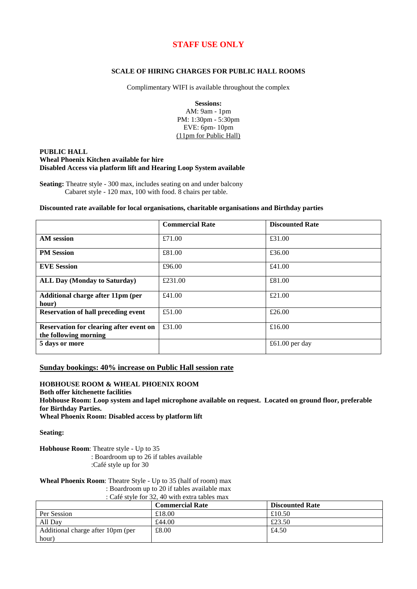# **STAFF USE ONLY**

#### **SCALE OF HIRING CHARGES FOR PUBLIC HALL ROOMS**

Complimentary WIFI is available throughout the complex

**Sessions:**

AM: 9am - 1pm PM: 1:30pm - 5:30pm EVE: 6pm- 10pm (11pm for Public Hall)

#### **PUBLIC HALL Wheal Phoenix Kitchen available for hire Disabled Access via platform lift and Hearing Loop System available**

**Seating:** Theatre style - 300 max, includes seating on and under balcony Cabaret style - 120 max, 100 with food. 8 chairs per table.

#### **Discounted rate available for local organisations, charitable organisations and Birthday parties**

|                                                                         | <b>Commercial Rate</b> | <b>Discounted Rate</b> |
|-------------------------------------------------------------------------|------------------------|------------------------|
| <b>AM</b> session                                                       | £71.00                 | £31.00                 |
| <b>PM Session</b>                                                       | £81.00                 | £36.00                 |
| <b>EVE Session</b>                                                      | £96.00                 | £41.00                 |
| <b>ALL Day (Monday to Saturday)</b>                                     | £231.00                | £81.00                 |
| Additional charge after 11pm (per<br>hour)                              | £41.00                 | £21.00                 |
| <b>Reservation of hall preceding event</b>                              | £51.00                 | £26.00                 |
| <b>Reservation for clearing after event on</b><br>the following morning | £31.00                 | £16.00                 |
| 5 days or more                                                          |                        | £61.00 per day         |

#### **Sunday bookings: 40% increase on Public Hall session rate**

### **HOBHOUSE ROOM & WHEAL PHOENIX ROOM**

**Both offer kitchenette facilities**

**Hobhouse Room: Loop system and lapel microphone available on request. Located on ground floor, preferable for Birthday Parties.** 

**Wheal Phoenix Room: Disabled access by platform lift**

**Seating:**

**Hobhouse Room**: Theatre style - Up to 35 : Boardroom up to 26 if tables available :Café style up for 30

**Wheal Phoenix Room**: Theatre Style - Up to 35 (half of room) max

: Boardroom up to 20 if tables available max

: Café style for 32, 40 with extra tables max

|                                   | <b>Commercial Rate</b> | <b>Discounted Rate</b> |
|-----------------------------------|------------------------|------------------------|
| Per Session                       | £18.00                 | £10.50                 |
| All Day                           | £44.00                 | £23.50                 |
| Additional charge after 10pm (per | £8.00                  | £4.50                  |
| hour)                             |                        |                        |